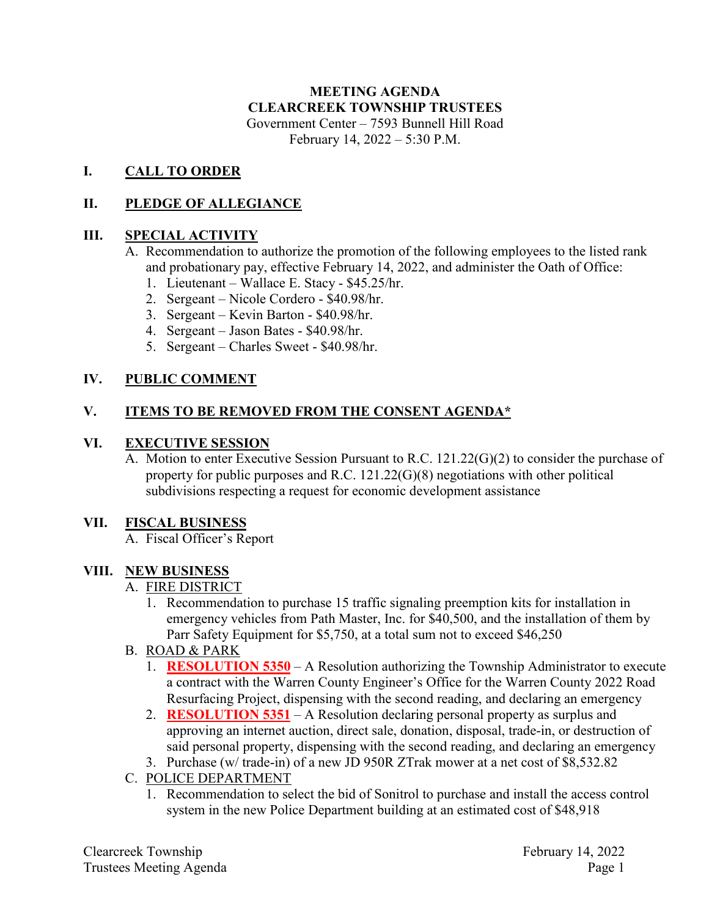# **MEETING AGENDA CLEARCREEK TOWNSHIP TRUSTEES** Government Center – 7593 Bunnell Hill Road

February 14, 2022 – 5:30 P.M.

## **I. CALL TO ORDER**

## **II. PLEDGE OF ALLEGIANCE**

### **III. SPECIAL ACTIVITY**

- A. Recommendation to authorize the promotion of the following employees to the listed rank and probationary pay, effective February 14, 2022, and administer the Oath of Office:
	- 1. Lieutenant Wallace E. Stacy \$45.25/hr.
	- 2. Sergeant Nicole Cordero \$40.98/hr.
	- 3. Sergeant Kevin Barton \$40.98/hr.
	- 4. Sergeant Jason Bates \$40.98/hr.
	- 5. Sergeant Charles Sweet \$40.98/hr.

### **IV. PUBLIC COMMENT**

## **V. ITEMS TO BE REMOVED FROM THE CONSENT AGENDA\***

#### **VI. EXECUTIVE SESSION**

A. Motion to enter Executive Session Pursuant to R.C. 121.22(G)(2) to consider the purchase of property for public purposes and R.C. 121.22(G)(8) negotiations with other political subdivisions respecting a request for economic development assistance

#### **VII. FISCAL BUSINESS**

A. Fiscal Officer's Report

#### **VIII. NEW BUSINESS**

#### A. FIRE DISTRICT

- 1. Recommendation to purchase 15 traffic signaling preemption kits for installation in emergency vehicles from Path Master, Inc. for \$40,500, and the installation of them by Parr Safety Equipment for \$5,750, at a total sum not to exceed \$46,250
- B. ROAD & PARK
	- 1. **RESOLUTION 5350** A Resolution authorizing the Township Administrator to execute a contract with the Warren County Engineer's Office for the Warren County 2022 Road Resurfacing Project, dispensing with the second reading, and declaring an emergency
	- 2. **RESOLUTION 5351** A Resolution declaring personal property as surplus and approving an internet auction, direct sale, donation, disposal, trade-in, or destruction of said personal property, dispensing with the second reading, and declaring an emergency
	- 3. Purchase (w/ trade-in) of a new JD 950R ZTrak mower at a net cost of \$8,532.82
- C. POLICE DEPARTMENT
	- 1. Recommendation to select the bid of Sonitrol to purchase and install the access control system in the new Police Department building at an estimated cost of \$48,918